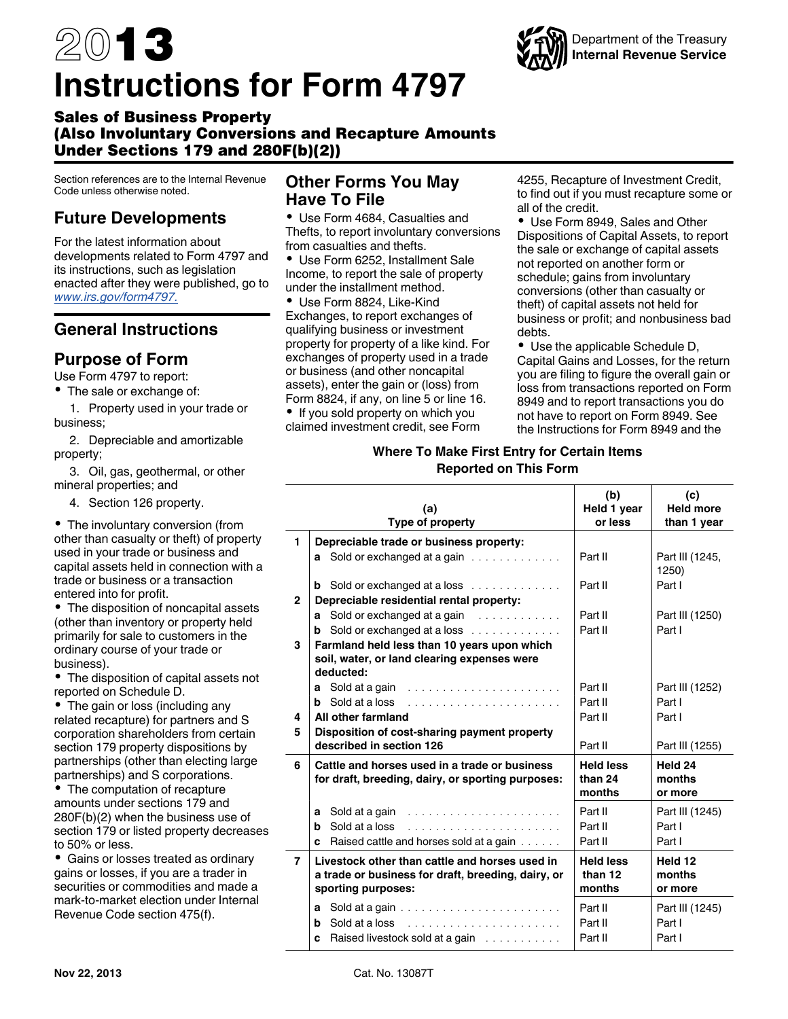# 2013 **Instructions for Form 4797**



# Sales of Business Property (Also Involuntary Conversions and Recapture Amounts Under Sections 179 and 280F(b)(2))

Section references are to the Internal Revenue Code unless otherwise noted.

# **Future Developments**

For the latest information about developments related to Form 4797 and its instructions, such as legislation enacted after they were published, go to *[www.irs.gov/form4797.](http://www.irs.gov/form4797)*

# **General Instructions**

# **Purpose of Form**

Use Form 4797 to report:

• The sale or exchange of:

1. Property used in your trade or business;

2. Depreciable and amortizable property;

3. Oil, gas, geothermal, or other mineral properties; and

4. Section 126 property.

The involuntary conversion (from other than casualty or theft) of property used in your trade or business and capital assets held in connection with a trade or business or a transaction entered into for profit.

• The disposition of noncapital assets (other than inventory or property held primarily for sale to customers in the ordinary course of your trade or business).

The disposition of capital assets not reported on Schedule D.

• The gain or loss (including any related recapture) for partners and S corporation shareholders from certain section 179 property dispositions by partnerships (other than electing large partnerships) and S corporations.

The computation of recapture amounts under sections 179 and 280F(b)(2) when the business use of section 179 or listed property decreases to 50% or less.

Gains or losses treated as ordinary gains or losses, if you are a trader in securities or commodities and made a mark-to-market election under Internal Revenue Code section 475(f).

# **Other Forms You May Have To File**

Use Form 4684, Casualties and Thefts, to report involuntary conversions from casualties and thefts.

Use Form 6252, Installment Sale Income, to report the sale of property under the installment method.

Use Form 8824, Like-Kind Exchanges, to report exchanges of qualifying business or investment property for property of a like kind. For exchanges of property used in a trade or business (and other noncapital assets), enter the gain or (loss) from Form 8824, if any, on line 5 or line 16.

• If you sold property on which you claimed investment credit, see Form 4255, Recapture of Investment Credit, to find out if you must recapture some or all of the credit.

Use Form 8949, Sales and Other Dispositions of Capital Assets, to report the sale or exchange of capital assets not reported on another form or schedule; gains from involuntary conversions (other than casualty or theft) of capital assets not held for business or profit; and nonbusiness bad debts.

Use the applicable Schedule D, Capital Gains and Losses, for the return you are filing to figure the overall gain or loss from transactions reported on Form 8949 and to report transactions you do not have to report on Form 8949. See the Instructions for Form 8949 and the

## **Where To Make First Entry for Certain Items Reported on This Form**

|                | (a)<br>Type of property                                                                                                    | (b)<br>Held 1 year<br>or less         | (c)<br><b>Held more</b><br>than 1 year |
|----------------|----------------------------------------------------------------------------------------------------------------------------|---------------------------------------|----------------------------------------|
| 1              | Depreciable trade or business property:                                                                                    |                                       |                                        |
|                | <b>a</b> Sold or exchanged at a gain $\ldots$ , $\ldots$                                                                   | Part II                               | Part III (1245,<br>1250)               |
|                | <b>b</b> Sold or exchanged at a loss $\ldots$                                                                              | Part II                               | Part I                                 |
| $\mathbf{2}$   | Depreciable residential rental property:                                                                                   |                                       |                                        |
|                | <b>a</b> Sold or exchanged at a gain $\ldots \ldots \ldots$                                                                | Part II                               | Part III (1250)                        |
|                | <b>b</b> Sold or exchanged at a loss $\ldots$ , $\ldots$                                                                   | Part II                               | Part I                                 |
| 3              | Farmland held less than 10 years upon which                                                                                |                                       |                                        |
|                | soil, water, or land clearing expenses were                                                                                |                                       |                                        |
|                | deducted:                                                                                                                  | Part II                               |                                        |
|                | <b>a</b> Sold at a gain                                                                                                    |                                       | Part III (1252)                        |
|                | <b>b</b> Sold at a loss                                                                                                    | Part II                               | Part I                                 |
| 4              | All other farmland                                                                                                         | Part II                               | Part I                                 |
| 5              | Disposition of cost-sharing payment property<br>described in section 126                                                   | Part II                               |                                        |
|                |                                                                                                                            |                                       | Part III (1255)                        |
| 6              | Cattle and horses used in a trade or business<br>for draft, breeding, dairy, or sporting purposes:                         | <b>Held less</b><br>than 24<br>months | Held 24<br>months<br>or more           |
|                | Sold at a gain<br>a                                                                                                        | Part II                               | Part III (1245)                        |
|                | Sold at a loss<br>b                                                                                                        | Part II                               | Part I                                 |
|                | Raised cattle and horses sold at a gain<br>c                                                                               | Part II                               | Part I                                 |
| $\overline{7}$ | Livestock other than cattle and horses used in<br>a trade or business for draft, breeding, dairy, or<br>sporting purposes: | <b>Held less</b><br>than 12<br>months | Held 12<br>months<br>or more           |
|                |                                                                                                                            |                                       |                                        |
|                | Sold at a gain $\ldots \ldots \ldots \ldots \ldots \ldots \ldots$<br>a                                                     | Part II                               | Part III (1245)                        |
|                | b                                                                                                                          | Part II                               | Part I                                 |
|                | Raised livestock sold at a gain<br>c                                                                                       | Part II                               | Part I                                 |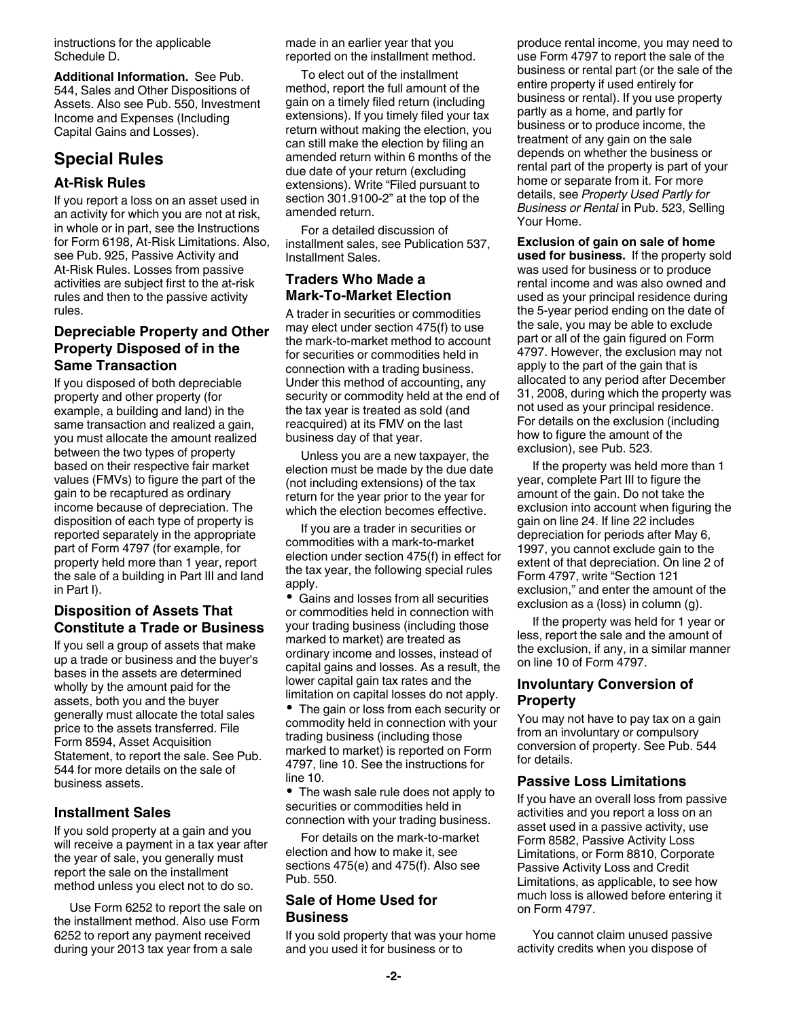<span id="page-1-0"></span>instructions for the applicable Schedule D.

**Additional Information.** See Pub. 544, Sales and Other Dispositions of Assets. Also see Pub. 550, Investment Income and Expenses (Including Capital Gains and Losses).

# **Special Rules**

## **At-Risk Rules**

If you report a loss on an asset used in an activity for which you are not at risk, in whole or in part, see the Instructions for Form 6198, At-Risk Limitations. Also, see Pub. 925, Passive Activity and At-Risk Rules. Losses from passive activities are subject first to the at-risk rules and then to the passive activity rules.

## **Depreciable Property and Other Property Disposed of in the Same Transaction**

If you disposed of both depreciable property and other property (for example, a building and land) in the same transaction and realized a gain, you must allocate the amount realized between the two types of property based on their respective fair market values (FMVs) to figure the part of the gain to be recaptured as ordinary income because of depreciation. The disposition of each type of property is reported separately in the appropriate part of Form 4797 (for example, for property held more than 1 year, report the sale of a building in Part III and land in Part I).

## **Disposition of Assets That Constitute a Trade or Business**

If you sell a group of assets that make up a trade or business and the buyer's bases in the assets are determined wholly by the amount paid for the assets, both you and the buyer generally must allocate the total sales price to the assets transferred. File Form 8594, Asset Acquisition Statement, to report the sale. See Pub. 544 for more details on the sale of business assets.

## **Installment Sales**

If you sold property at a gain and you will receive a payment in a tax year after the year of sale, you generally must report the sale on the installment method unless you elect not to do so.

Use Form 6252 to report the sale on the installment method. Also use Form 6252 to report any payment received during your 2013 tax year from a sale

made in an earlier year that you reported on the installment method.

To elect out of the installment method, report the full amount of the gain on a timely filed return (including extensions). If you timely filed your tax return without making the election, you can still make the election by filing an amended return within 6 months of the due date of your return (excluding extensions). Write "Filed pursuant to section 301.9100-2" at the top of the amended return.

For a detailed discussion of installment sales, see Publication 537, Installment Sales.

## **Traders Who Made a Mark-To-Market Election**

A trader in securities or commodities may elect under section 475(f) to use the mark-to-market method to account for securities or commodities held in connection with a trading business. Under this method of accounting, any security or commodity held at the end of the tax year is treated as sold (and reacquired) at its FMV on the last business day of that year.

Unless you are a new taxpayer, the election must be made by the due date (not including extensions) of the tax return for the year prior to the year for which the election becomes effective.

If you are a trader in securities or commodities with a mark-to-market election under section 475(f) in effect for the tax year, the following special rules apply.

Gains and losses from all securities or commodities held in connection with your trading business (including those marked to market) are treated as ordinary income and losses, instead of capital gains and losses. As a result, the lower capital gain tax rates and the limitation on capital losses do not apply.

• The gain or loss from each security or commodity held in connection with your trading business (including those marked to market) is reported on Form 4797, line 10. See the instructions for line 10.

The wash sale rule does not apply to securities or commodities held in connection with your trading business.

For details on the mark-to-market election and how to make it, see sections 475(e) and 475(f). Also see Pub. 550.

## **Sale of Home Used for Business**

If you sold property that was your home and you used it for business or to

produce rental income, you may need to use Form 4797 to report the sale of the business or rental part (or the sale of the entire property if used entirely for business or rental). If you use property partly as a home, and partly for business or to produce income, the treatment of any gain on the sale depends on whether the business or rental part of the property is part of your home or separate from it. For more details, see *Property Used Partly for Business or Rental* in Pub. 523, Selling Your Home.

**Exclusion of gain on sale of home used for business.** If the property sold was used for business or to produce rental income and was also owned and used as your principal residence during the 5-year period ending on the date of the sale, you may be able to exclude part or all of the gain figured on Form 4797. However, the exclusion may not apply to the part of the gain that is allocated to any period after December 31, 2008, during which the property was not used as your principal residence. For details on the exclusion (including how to figure the amount of the exclusion), see Pub. 523.

If the property was held more than 1 year, complete Part III to figure the amount of the gain. Do not take the exclusion into account when figuring the gain on line 24. If line 22 includes depreciation for periods after May 6, 1997, you cannot exclude gain to the extent of that depreciation. On line 2 of Form 4797, write "Section 121 exclusion," and enter the amount of the exclusion as a (loss) in column (g).

If the property was held for 1 year or less, report the sale and the amount of the exclusion, if any, in a similar manner on line 10 of Form 4797.

## **Involuntary Conversion of Property**

You may not have to pay tax on a gain from an involuntary or compulsory conversion of property. See Pub. 544 for details.

## **Passive Loss Limitations**

If you have an overall loss from passive activities and you report a loss on an asset used in a passive activity, use Form 8582, Passive Activity Loss Limitations, or Form 8810, Corporate Passive Activity Loss and Credit Limitations, as applicable, to see how much loss is allowed before entering it on Form 4797.

You cannot claim unused passive activity credits when you dispose of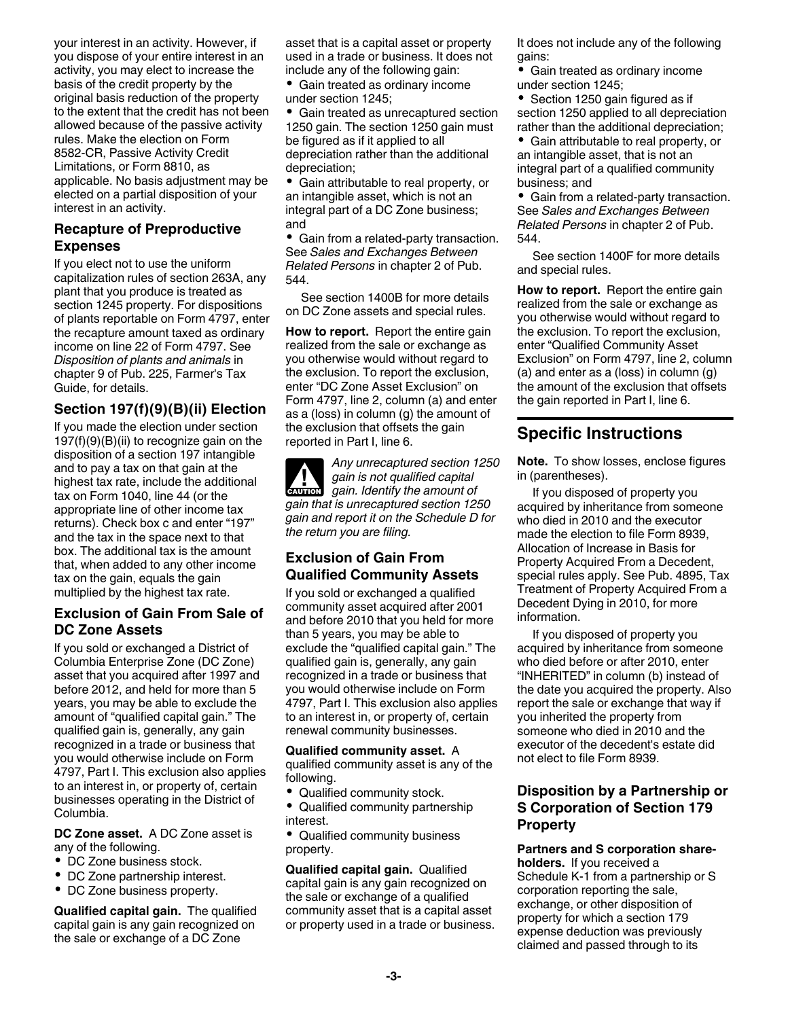<span id="page-2-0"></span>your interest in an activity. However, if you dispose of your entire interest in an activity, you may elect to increase the basis of the credit property by the original basis reduction of the property to the extent that the credit has not been allowed because of the passive activity rules. Make the election on Form 8582-CR, Passive Activity Credit Limitations, or Form 8810, as applicable. No basis adjustment may be elected on a partial disposition of your interest in an activity.

## **Recapture of Preproductive Expenses**

If you elect not to use the uniform capitalization rules of section 263A, any plant that you produce is treated as section 1245 property. For dispositions of plants reportable on Form 4797, enter the recapture amount taxed as ordinary income on line 22 of Form 4797. See *Disposition of plants and animals* in chapter 9 of Pub. 225, Farmer's Tax Guide, for details.

## **Section 197(f)(9)(B)(ii) Election**

If you made the election under section 197(f)(9)(B)(ii) to recognize gain on the disposition of a section 197 intangible and to pay a tax on that gain at the highest tax rate, include the additional tax on Form 1040, line 44 (or the appropriate line of other income tax returns). Check box c and enter "197" and the tax in the space next to that box. The additional tax is the amount that, when added to any other income tax on the gain, equals the gain multiplied by the highest tax rate.

## **Exclusion of Gain From Sale of DC Zone Assets**

If you sold or exchanged a District of Columbia Enterprise Zone (DC Zone) asset that you acquired after 1997 and before 2012, and held for more than 5 years, you may be able to exclude the amount of "qualified capital gain." The qualified gain is, generally, any gain recognized in a trade or business that you would otherwise include on Form 4797, Part I. This exclusion also applies to an interest in, or property of, certain businesses operating in the District of Columbia.

**DC Zone asset.** A DC Zone asset is any of the following.

- DC Zone business stock.
- DC Zone partnership interest.
- DC Zone business property.

**Qualified capital gain.** The qualified capital gain is any gain recognized on the sale or exchange of a DC Zone

asset that is a capital asset or property used in a trade or business. It does not include any of the following gain:

Gain treated as ordinary income under section 1245;

Gain treated as unrecaptured section 1250 gain. The section 1250 gain must be figured as if it applied to all depreciation rather than the additional depreciation;

Gain attributable to real property, or an intangible asset, which is not an integral part of a DC Zone business; and

Gain from a related-party transaction. See *Sales and Exchanges Between Related Persons* in chapter 2 of Pub. 544.

See section 1400B for more details on DC Zone assets and special rules.

**How to report.** Report the entire gain realized from the sale or exchange as you otherwise would without regard to the exclusion. To report the exclusion, enter "DC Zone Asset Exclusion" on Form 4797, line 2, column (a) and enter as a (loss) in column (g) the amount of the exclusion that offsets the gain reported in Part I, line 6.

*Any unrecaptured section 1250 gain is not qualified capital*  **gain is not qualified capital**<br>gain. Identify the amount of *gain that is unrecaptured section 1250 gain and report it on the Schedule D for the return you are filing.*

## **Exclusion of Gain From Qualified Community Assets**

If you sold or exchanged a qualified community asset acquired after 2001 and before 2010 that you held for more than 5 years, you may be able to exclude the "qualified capital gain." The qualified gain is, generally, any gain recognized in a trade or business that you would otherwise include on Form 4797, Part I. This exclusion also applies to an interest in, or property of, certain renewal community businesses.

## **Qualified community asset.** A

qualified community asset is any of the following.

- Qualified community stock.
- Qualified community partnership interest.

Qualified community business property.

**Qualified capital gain.** Qualified capital gain is any gain recognized on the sale or exchange of a qualified community asset that is a capital asset or property used in a trade or business. It does not include any of the following gains:

Gain treated as ordinary income ٠ under section 1245;

• Section 1250 gain figured as if section 1250 applied to all depreciation rather than the additional depreciation;

Gain attributable to real property, or an intangible asset, that is not an integral part of a qualified community business; and

Gain from a related-party transaction. See *Sales and Exchanges Between Related Persons* in chapter 2 of Pub. 544.

See section 1400F for more details and special rules.

**How to report.** Report the entire gain realized from the sale or exchange as you otherwise would without regard to the exclusion. To report the exclusion, enter "Qualified Community Asset Exclusion" on Form 4797, line 2, column (a) and enter as a (loss) in column (g) the amount of the exclusion that offsets the gain reported in Part I, line 6.

# **Specific Instructions**

**Note.** To show losses, enclose figures in (parentheses).

If you disposed of property you acquired by inheritance from someone who died in 2010 and the executor made the election to file Form 8939, Allocation of Increase in Basis for Property Acquired From a Decedent, special rules apply. See Pub. 4895, Tax Treatment of Property Acquired From a Decedent Dying in 2010, for more information.

If you disposed of property you acquired by inheritance from someone who died before or after 2010, enter "INHERITED" in column (b) instead of the date you acquired the property. Also report the sale or exchange that way if you inherited the property from someone who died in 2010 and the executor of the decedent's estate did not elect to file Form 8939.

## **Disposition by a Partnership or S Corporation of Section 179 Property**

**Partners and S corporation shareholders.** If you received a Schedule K-1 from a partnership or S corporation reporting the sale, exchange, or other disposition of property for which a section 179 expense deduction was previously claimed and passed through to its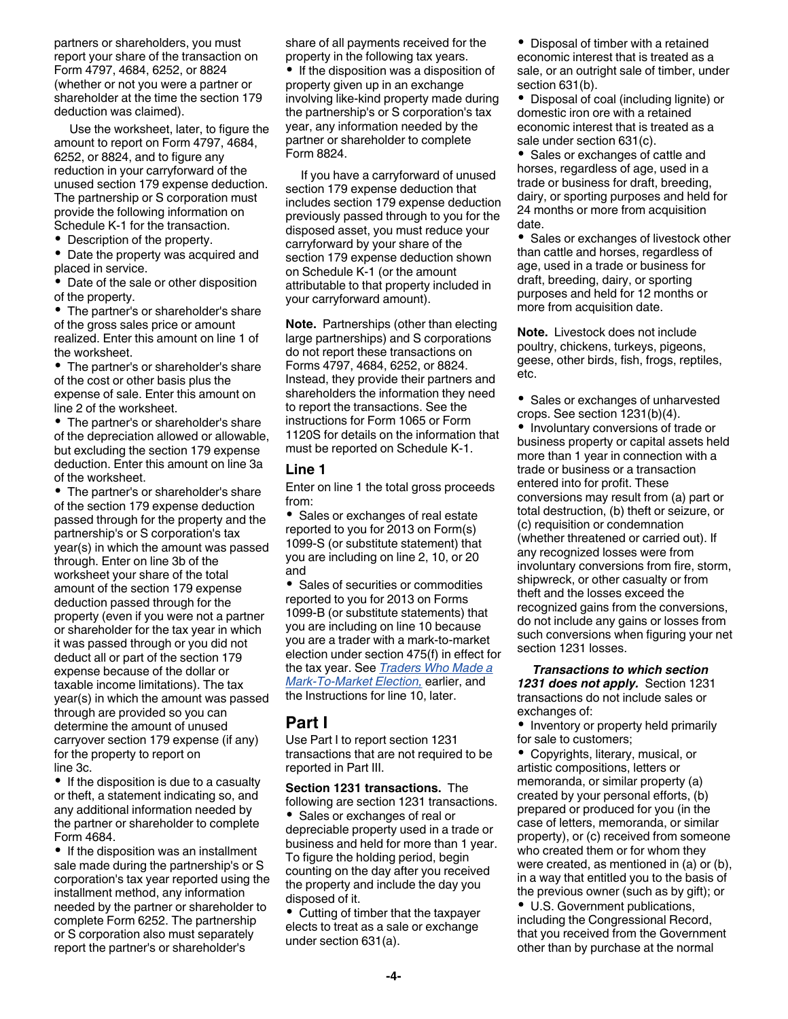partners or shareholders, you must report your share of the transaction on Form 4797, 4684, 6252, or 8824 (whether or not you were a partner or shareholder at the time the section 179 deduction was claimed).

Use the worksheet, later, to figure the amount to report on Form 4797, 4684, 6252, or 8824, and to figure any reduction in your carryforward of the unused section 179 expense deduction. The partnership or S corporation must provide the following information on Schedule K-1 for the transaction.

• Description of the property.

• Date the property was acquired and placed in service.

Date of the sale or other disposition of the property.

The partner's or shareholder's share of the gross sales price or amount realized. Enter this amount on line 1 of the worksheet.

• The partner's or shareholder's share of the cost or other basis plus the expense of sale. Enter this amount on line 2 of the worksheet.

• The partner's or shareholder's share of the depreciation allowed or allowable, but excluding the section 179 expense deduction. Enter this amount on line 3a of the worksheet.

• The partner's or shareholder's share of the section 179 expense deduction passed through for the property and the partnership's or S corporation's tax year(s) in which the amount was passed through. Enter on line 3b of the worksheet your share of the total amount of the section 179 expense deduction passed through for the property (even if you were not a partner or shareholder for the tax year in which it was passed through or you did not deduct all or part of the section 179 expense because of the dollar or taxable income limitations). The tax year(s) in which the amount was passed through are provided so you can determine the amount of unused carryover section 179 expense (if any) for the property to report on line 3c.

• If the disposition is due to a casualty or theft, a statement indicating so, and any additional information needed by the partner or shareholder to complete Form 4684.

• If the disposition was an installment sale made during the partnership's or S corporation's tax year reported using the installment method, any information needed by the partner or shareholder to complete Form 6252. The partnership or S corporation also must separately report the partner's or shareholder's

share of all payments received for the property in the following tax years.

• If the disposition was a disposition of property given up in an exchange involving like-kind property made during the partnership's or S corporation's tax year, any information needed by the partner or shareholder to complete Form 8824.

If you have a carryforward of unused section 179 expense deduction that includes section 179 expense deduction previously passed through to you for the disposed asset, you must reduce your carryforward by your share of the section 179 expense deduction shown on Schedule K-1 (or the amount attributable to that property included in your carryforward amount).

**Note.** Partnerships (other than electing large partnerships) and S corporations do not report these transactions on Forms 4797, 4684, 6252, or 8824. Instead, they provide their partners and shareholders the information they need to report the transactions. See the instructions for Form 1065 or Form 1120S for details on the information that must be reported on Schedule K-1.

#### **Line 1**

Enter on line 1 the total gross proceeds from:

• Sales or exchanges of real estate reported to you for 2013 on Form(s) 1099-S (or substitute statement) that you are including on line 2, 10, or 20 and

• Sales of securities or commodities reported to you for 2013 on Forms 1099-B (or substitute statements) that you are including on line 10 because you are a trader with a mark-to-market election under section 475(f) in effect for the tax year. See *[Traders Who Made a](#page-1-0) [Mark-To-Market Election,](#page-1-0)* earlier, and the Instructions for line 10, later.

## **Part I**

Use Part I to report section 1231 transactions that are not required to be reported in Part III.

**Section 1231 transactions.** The following are section 1231 transactions. • Sales or exchanges of real or depreciable property used in a trade or business and held for more than 1 year. To figure the holding period, begin counting on the day after you received the property and include the day you disposed of it.

• Cutting of timber that the taxpayer elects to treat as a sale or exchange under section 631(a).

• Disposal of timber with a retained economic interest that is treated as a sale, or an outright sale of timber, under section 631(b).

Disposal of coal (including lignite) or domestic iron ore with a retained economic interest that is treated as a sale under section 631(c).

• Sales or exchanges of cattle and horses, regardless of age, used in a trade or business for draft, breeding, dairy, or sporting purposes and held for 24 months or more from acquisition date.

• Sales or exchanges of livestock other than cattle and horses, regardless of age, used in a trade or business for draft, breeding, dairy, or sporting purposes and held for 12 months or more from acquisition date.

**Note.** Livestock does not include poultry, chickens, turkeys, pigeons, geese, other birds, fish, frogs, reptiles, etc.

• Sales or exchanges of unharvested crops. See section 1231(b)(4).

• Involuntary conversions of trade or business property or capital assets held more than 1 year in connection with a trade or business or a transaction entered into for profit. These conversions may result from (a) part or total destruction, (b) theft or seizure, or (c) requisition or condemnation (whether threatened or carried out). If any recognized losses were from involuntary conversions from fire, storm, shipwreck, or other casualty or from theft and the losses exceed the recognized gains from the conversions, do not include any gains or losses from such conversions when figuring your net section 1231 losses.

*Transactions to which section 1231 does not apply.* Section 1231 transactions do not include sales or exchanges of:

• Inventory or property held primarily for sale to customers;

Copyrights, literary, musical, or artistic compositions, letters or memoranda, or similar property (a) created by your personal efforts, (b) prepared or produced for you (in the case of letters, memoranda, or similar property), or (c) received from someone who created them or for whom they were created, as mentioned in (a) or (b), in a way that entitled you to the basis of the previous owner (such as by gift); or U.S. Government publications,

including the Congressional Record, that you received from the Government other than by purchase at the normal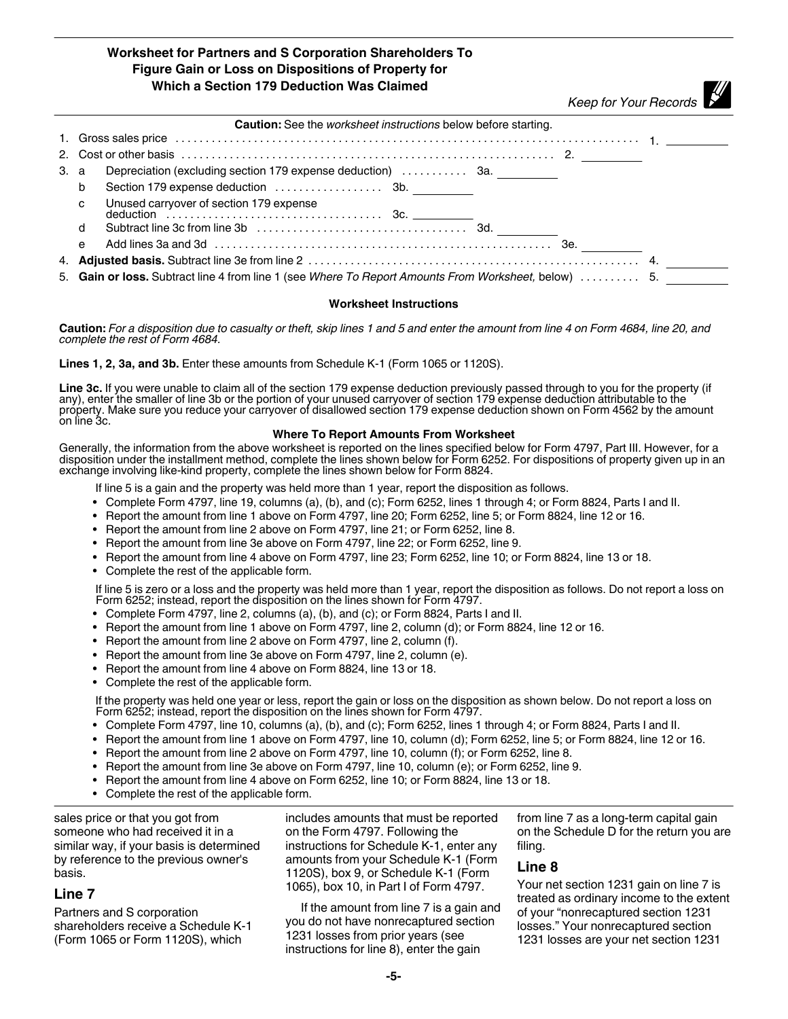#### **Worksheet for Partners and S Corporation Shareholders To Figure Gain or Loss on Dispositions of Property for Which a Section 179 Deduction Was Claimed**

*Keep for Your Records*

|      | <b>Caution:</b> See the <i>worksheet instructions</i> below before starting.                         |  |  |  |  |  |
|------|------------------------------------------------------------------------------------------------------|--|--|--|--|--|
|      |                                                                                                      |  |  |  |  |  |
|      |                                                                                                      |  |  |  |  |  |
| 3. a | Depreciation (excluding section 179 expense deduction)  3a.                                          |  |  |  |  |  |
|      | b                                                                                                    |  |  |  |  |  |
|      | Unused carryover of section 179 expense<br>$\mathbf{C}$                                              |  |  |  |  |  |
|      | d                                                                                                    |  |  |  |  |  |
|      | e                                                                                                    |  |  |  |  |  |
|      |                                                                                                      |  |  |  |  |  |
|      | 5. Gain or loss. Subtract line 4 from line 1 (see Where To Report Amounts From Worksheet, below)  5. |  |  |  |  |  |

#### **Worksheet Instructions**

**Caution:** *For a disposition due to casualty or theft, skip lines 1 and 5 and enter the amount from line 4 on Form 4684, line 20, and complete the rest of Form 4684.*

**Lines 1, 2, 3a, and 3b.** Enter these amounts from Schedule K-1 (Form 1065 or 1120S).

**Line 3c.** If you were unable to claim all of the section 179 expense deduction previously passed through to you for the property (if any), enter the smaller of line 3b or the portion of your unused carryover of section 179 expense deduction attributable to the property. Make sure you reduce your carryover of disallowed section 179 expense deduction shown on Form 4562 by the amount on line 3c.

#### **Where To Report Amounts From Worksheet**

Generally, the information from the above worksheet is reported on the lines specified below for Form 4797, Part III. However, for a disposition under the installment method, complete the lines shown below for Form 6252. For dispositions of property given up in an exchange involving like-kind property, complete the lines shown below for Form 8824.

If line 5 is a gain and the property was held more than 1 year, report the disposition as follows.

- Complete Form 4797, line 19, columns (a), (b), and (c); Form 6252, lines 1 through 4; or Form 8824, Parts I and II.
- Report the amount from line 1 above on Form 4797, line 20; Form 6252, line 5; or Form 8824, line 12 or 16.
- Report the amount from line 2 above on Form 4797, line 21; or Form 6252, line 8.
- Report the amount from line 3e above on Form 4797, line 22; or Form 6252, line 9.
- Report the amount from line 4 above on Form 4797, line 23; Form 6252, line 10; or Form 8824, line 13 or 18.
- Complete the rest of the applicable form.

 If line 5 is zero or a loss and the property was held more than 1 year, report the disposition as follows. Do not report a loss on Form 6252; instead, report the disposition on the lines shown for Form 4797.

- Complete Form 4797, line 2, columns (a), (b), and (c); or Form 8824, Parts I and II.
- Report the amount from line 1 above on Form 4797, line 2, column (d); or Form 8824, line 12 or 16.
- Report the amount from line 2 above on Form 4797, line 2, column (f).
- Report the amount from line 3e above on Form 4797, line 2, column (e).
- Report the amount from line 4 above on Form 8824, line 13 or 18.
- Complete the rest of the applicable form.

 If the property was held one year or less, report the gain or loss on the disposition as shown below. Do not report a loss on Form 6252; instead, report the disposition on the lines shown for Form 4797.

- Complete Form 4797, line 10, columns (a), (b), and (c); Form 6252, lines 1 through 4; or Form 8824, Parts I and II.
- Report the amount from line 1 above on Form 4797, line 10, column (d); Form 6252, line 5; or Form 8824, line 12 or 16.
- Report the amount from line 2 above on Form 4797, line 10, column (f); or Form 6252, line 8.
- Report the amount from line 3e above on Form 4797, line 10, column (e); or Form 6252, line 9.
- Report the amount from line 4 above on Form 6252, line 10; or Form 8824, line 13 or 18.
- Complete the rest of the applicable form.

sales price or that you got from someone who had received it in a similar way, if your basis is determined by reference to the previous owner's basis.

#### **Line 7**

Partners and S corporation shareholders receive a Schedule K-1 (Form 1065 or Form 1120S), which

includes amounts that must be reported on the Form 4797. Following the instructions for Schedule K-1, enter any amounts from your Schedule K-1 (Form 1120S), box 9, or Schedule K-1 (Form 1065), box 10, in Part I of Form 4797.

If the amount from line 7 is a gain and you do not have nonrecaptured section 1231 losses from prior years (see instructions for line 8), enter the gain

from line 7 as a long-term capital gain on the Schedule D for the return you are filing.

#### **Line 8**

Your net section 1231 gain on line 7 is treated as ordinary income to the extent of your "nonrecaptured section 1231 losses." Your nonrecaptured section 1231 losses are your net section 1231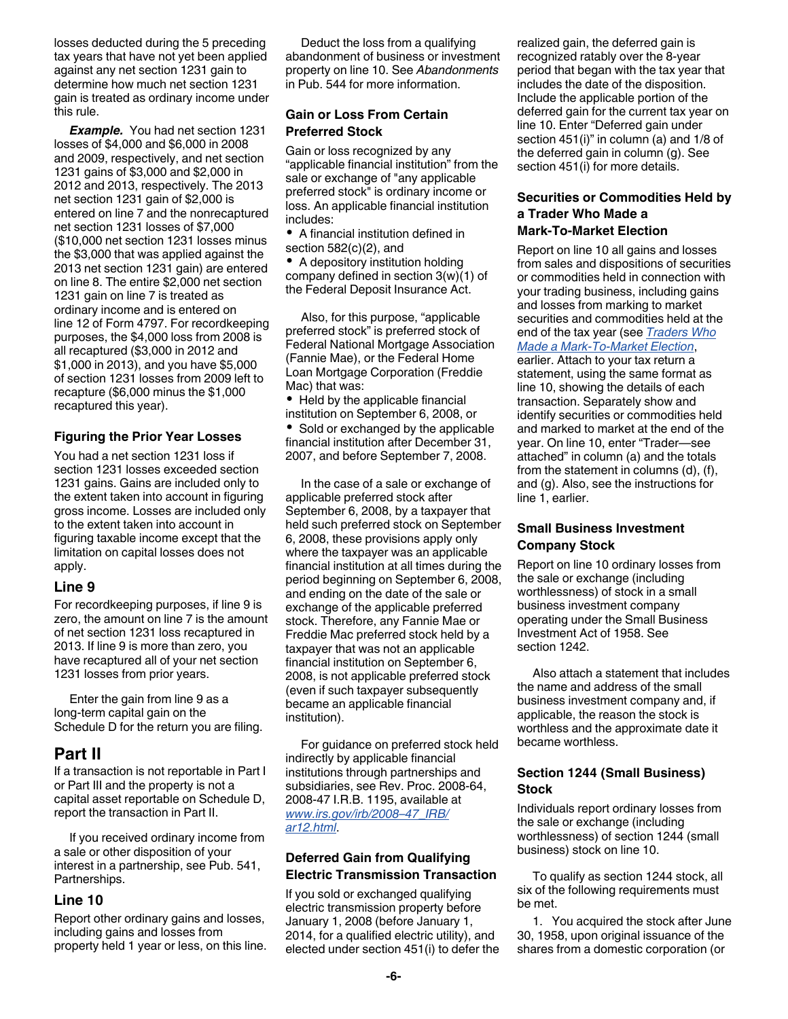losses deducted during the 5 preceding tax years that have not yet been applied against any net section 1231 gain to determine how much net section 1231 gain is treated as ordinary income under this rule.

*Example.* You had net section 1231 losses of \$4,000 and \$6,000 in 2008 and 2009, respectively, and net section 1231 gains of \$3,000 and \$2,000 in 2012 and 2013, respectively. The 2013 net section 1231 gain of \$2,000 is entered on line 7 and the nonrecaptured net section 1231 losses of \$7,000 (\$10,000 net section 1231 losses minus the \$3,000 that was applied against the 2013 net section 1231 gain) are entered on line 8. The entire \$2,000 net section 1231 gain on line 7 is treated as ordinary income and is entered on line 12 of Form 4797. For recordkeeping purposes, the \$4,000 loss from 2008 is all recaptured (\$3,000 in 2012 and \$1,000 in 2013), and you have \$5,000 of section 1231 losses from 2009 left to recapture (\$6,000 minus the \$1,000 recaptured this year).

#### **Figuring the Prior Year Losses**

You had a net section 1231 loss if section 1231 losses exceeded section 1231 gains. Gains are included only to the extent taken into account in figuring gross income. Losses are included only to the extent taken into account in figuring taxable income except that the limitation on capital losses does not apply.

## **Line 9**

For recordkeeping purposes, if line 9 is zero, the amount on line 7 is the amount of net section 1231 loss recaptured in 2013. If line 9 is more than zero, you have recaptured all of your net section 1231 losses from prior years.

Enter the gain from line 9 as a long-term capital gain on the Schedule D for the return you are filing.

# **Part II**

If a transaction is not reportable in Part I or Part III and the property is not a capital asset reportable on Schedule D, report the transaction in Part II.

If you received ordinary income from a sale or other disposition of your interest in a partnership, see Pub. 541, Partnerships.

## **Line 10**

Report other ordinary gains and losses, including gains and losses from property held 1 year or less, on this line.

Deduct the loss from a qualifying abandonment of business or investment property on line 10. See *Abandonments*  in Pub. 544 for more information.

## **Gain or Loss From Certain Preferred Stock**

Gain or loss recognized by any "applicable financial institution" from the sale or exchange of "any applicable preferred stock" is ordinary income or loss. An applicable financial institution includes:

A financial institution defined in section 582(c)(2), and

• A depository institution holding company defined in section 3(w)(1) of the Federal Deposit Insurance Act.

Also, for this purpose, "applicable preferred stock" is preferred stock of Federal National Mortgage Association (Fannie Mae), or the Federal Home Loan Mortgage Corporation (Freddie Mac) that was:

• Held by the applicable financial institution on September 6, 2008, or

• Sold or exchanged by the applicable financial institution after December 31, 2007, and before September 7, 2008.

In the case of a sale or exchange of applicable preferred stock after September 6, 2008, by a taxpayer that held such preferred stock on September 6, 2008, these provisions apply only where the taxpayer was an applicable financial institution at all times during the period beginning on September 6, 2008, and ending on the date of the sale or exchange of the applicable preferred stock. Therefore, any Fannie Mae or Freddie Mac preferred stock held by a taxpayer that was not an applicable financial institution on September 6, 2008, is not applicable preferred stock (even if such taxpayer subsequently became an applicable financial institution).

For guidance on preferred stock held indirectly by applicable financial institutions through partnerships and subsidiaries, see Rev. Proc. 2008-64, 2008-47 I.R.B. 1195, available at *[www.irs.gov/irb/2008–47\\_IRB/](http://www.irs.gov/irb/2008-47_IRB/ar12.html) [ar12.html](http://www.irs.gov/irb/2008-47_IRB/ar12.html)*.

#### **Deferred Gain from Qualifying Electric Transmission Transaction**

If you sold or exchanged qualifying electric transmission property before January 1, 2008 (before January 1, 2014, for a qualified electric utility), and elected under section 451(i) to defer the realized gain, the deferred gain is recognized ratably over the 8-year period that began with the tax year that includes the date of the disposition. Include the applicable portion of the deferred gain for the current tax year on line 10. Enter "Deferred gain under section 451(i)" in column (a) and 1/8 of the deferred gain in column (g). See section 451(i) for more details.

## **Securities or Commodities Held by a Trader Who Made a Mark-To-Market Election**

Report on line 10 all gains and losses from sales and dispositions of securities or commodities held in connection with your trading business, including gains and losses from marking to market securities and commodities held at the end of the tax year (see *[Traders Who](#page-1-0)  [Made a Mark-To-Market Election](#page-1-0)*, earlier. Attach to your tax return a statement, using the same format as line 10, showing the details of each transaction. Separately show and identify securities or commodities held and marked to market at the end of the year. On line 10, enter "Trader—see attached" in column (a) and the totals from the statement in columns (d), (f), and (g). Also, see the instructions for line 1, earlier.

## **Small Business Investment Company Stock**

Report on line 10 ordinary losses from the sale or exchange (including worthlessness) of stock in a small business investment company operating under the Small Business Investment Act of 1958. See section 1242.

Also attach a statement that includes the name and address of the small business investment company and, if applicable, the reason the stock is worthless and the approximate date it became worthless.

## **Section 1244 (Small Business) Stock**

Individuals report ordinary losses from the sale or exchange (including worthlessness) of section 1244 (small business) stock on line 10.

To qualify as section 1244 stock, all six of the following requirements must be met.

1. You acquired the stock after June 30, 1958, upon original issuance of the shares from a domestic corporation (or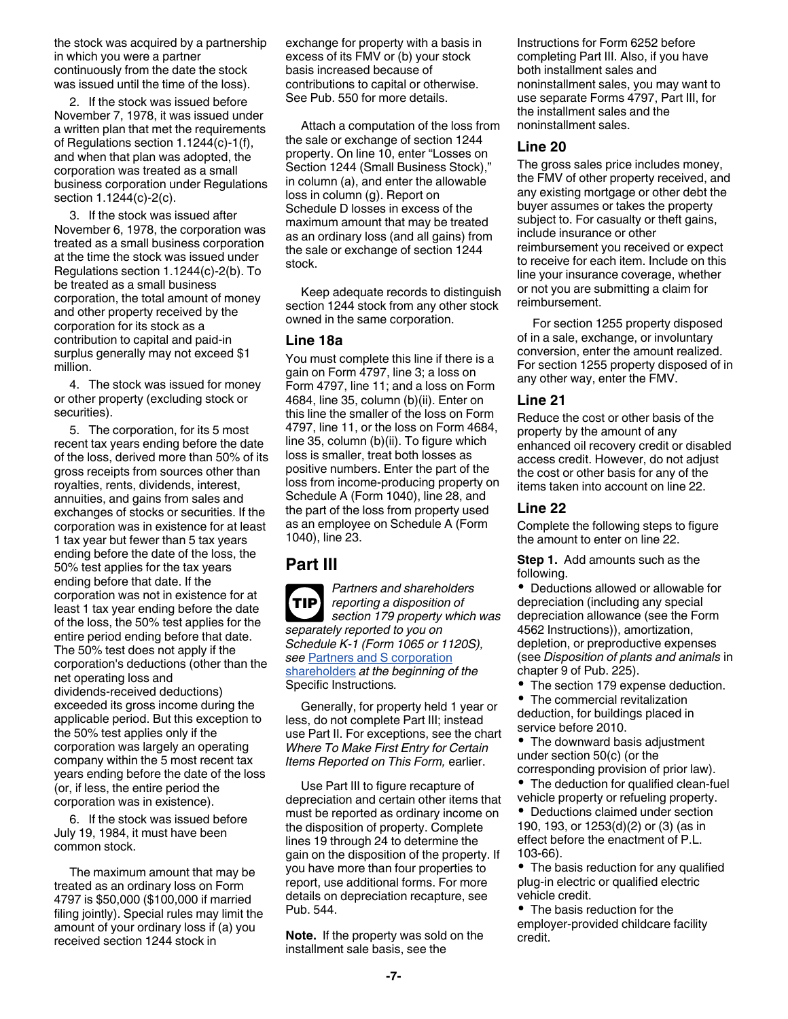the stock was acquired by a partnership in which you were a partner continuously from the date the stock was issued until the time of the loss).

2. If the stock was issued before November 7, 1978, it was issued under a written plan that met the requirements of Regulations section 1.1244(c)-1(f), and when that plan was adopted, the corporation was treated as a small business corporation under Regulations section 1.1244(c)-2(c).

3. If the stock was issued after November 6, 1978, the corporation was treated as a small business corporation at the time the stock was issued under Regulations section 1.1244(c)-2(b). To be treated as a small business corporation, the total amount of money and other property received by the corporation for its stock as a contribution to capital and paid-in surplus generally may not exceed \$1 million.

4. The stock was issued for money or other property (excluding stock or securities).

5. The corporation, for its 5 most recent tax years ending before the date of the loss, derived more than 50% of its gross receipts from sources other than royalties, rents, dividends, interest, annuities, and gains from sales and exchanges of stocks or securities. If the corporation was in existence for at least 1 tax year but fewer than 5 tax years ending before the date of the loss, the 50% test applies for the tax years ending before that date. If the corporation was not in existence for at least 1 tax year ending before the date of the loss, the 50% test applies for the entire period ending before that date. The 50% test does not apply if the corporation's deductions (other than the net operating loss and dividends-received deductions) exceeded its gross income during the applicable period. But this exception to the 50% test applies only if the corporation was largely an operating company within the 5 most recent tax years ending before the date of the loss (or, if less, the entire period the corporation was in existence).

6. If the stock was issued before July 19, 1984, it must have been common stock.

The maximum amount that may be treated as an ordinary loss on Form 4797 is \$50,000 (\$100,000 if married filing jointly). Special rules may limit the amount of your ordinary loss if (a) you received section 1244 stock in

exchange for property with a basis in excess of its FMV or (b) your stock basis increased because of contributions to capital or otherwise. See Pub. 550 for more details.

Attach a computation of the loss from the sale or exchange of section 1244 property. On line 10, enter "Losses on Section 1244 (Small Business Stock)," in column (a), and enter the allowable loss in column (g). Report on Schedule D losses in excess of the maximum amount that may be treated as an ordinary loss (and all gains) from the sale or exchange of section 1244 stock.

Keep adequate records to distinguish section 1244 stock from any other stock owned in the same corporation.

#### **Line 18a**

You must complete this line if there is a gain on Form 4797, line 3; a loss on Form 4797, line 11; and a loss on Form 4684, line 35, column (b)(ii). Enter on this line the smaller of the loss on Form 4797, line 11, or the loss on Form 4684, line 35, column (b)(ii). To figure which loss is smaller, treat both losses as positive numbers. Enter the part of the loss from income-producing property on Schedule A (Form 1040), line 28, and the part of the loss from property used as an employee on Schedule A (Form 1040), line 23.

## **Part III**

*Partners and shareholders reporting a disposition of section 179 property which was separately reported to you on Schedule K-1 (Form 1065 or 1120S), see* [Partners and S corporation](#page-2-0)  [shareholders](#page-2-0) *at the beginning of the*  Specific Instructions*.* **TIP**

Generally, for property held 1 year or less, do not complete Part III; instead use Part II. For exceptions, see the chart *Where To Make First Entry for Certain Items Reported on This Form,* earlier.

Use Part III to figure recapture of depreciation and certain other items that must be reported as ordinary income on the disposition of property. Complete lines 19 through 24 to determine the gain on the disposition of the property. If you have more than four properties to report, use additional forms. For more details on depreciation recapture, see Pub. 544.

**Note.** If the property was sold on the installment sale basis, see the

Instructions for Form 6252 before completing Part III. Also, if you have both installment sales and noninstallment sales, you may want to use separate Forms 4797, Part III, for the installment sales and the noninstallment sales.

## **Line 20**

The gross sales price includes money, the FMV of other property received, and any existing mortgage or other debt the buyer assumes or takes the property subject to. For casualty or theft gains, include insurance or other reimbursement you received or expect to receive for each item. Include on this line your insurance coverage, whether or not you are submitting a claim for reimbursement.

For section 1255 property disposed of in a sale, exchange, or involuntary conversion, enter the amount realized. For section 1255 property disposed of in any other way, enter the FMV.

## **Line 21**

Reduce the cost or other basis of the property by the amount of any enhanced oil recovery credit or disabled access credit. However, do not adjust the cost or other basis for any of the items taken into account on line 22.

## **Line 22**

Complete the following steps to figure the amount to enter on line 22.

**Step 1.** Add amounts such as the following.

Deductions allowed or allowable for depreciation (including any special depreciation allowance (see the Form 4562 Instructions)), amortization, depletion, or preproductive expenses (see *Disposition of plants and animals* in chapter 9 of Pub. 225).

• The section 179 expense deduction.

The commercial revitalization deduction, for buildings placed in service before 2010.

The downward basis adjustment under section 50(c) (or the corresponding provision of prior law).

• The deduction for qualified clean-fuel vehicle property or refueling property.

Deductions claimed under section 190, 193, or 1253(d)(2) or (3) (as in effect before the enactment of P.L. 103-66).

• The basis reduction for any qualified plug-in electric or qualified electric vehicle credit.

• The basis reduction for the employer-provided childcare facility credit.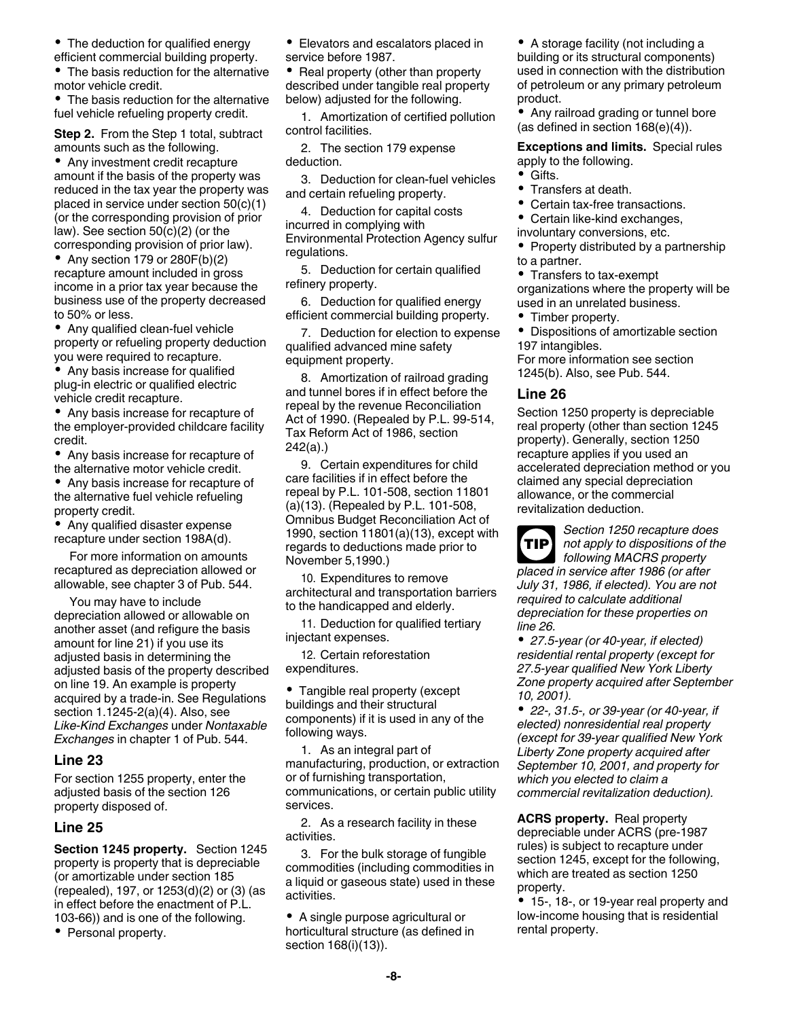- The deduction for qualified energy
- efficient commercial building property. The basis reduction for the alternative motor vehicle credit.

The basis reduction for the alternative fuel vehicle refueling property credit.

**Step 2.** From the Step 1 total, subtract amounts such as the following.

• Any investment credit recapture amount if the basis of the property was reduced in the tax year the property was placed in service under section 50(c)(1) (or the corresponding provision of prior law). See section 50(c)(2) (or the corresponding provision of prior law).

• Any section 179 or  $280F(b)(2)$ recapture amount included in gross income in a prior tax year because the business use of the property decreased to 50% or less.

- Any qualified clean-fuel vehicle property or refueling property deduction you were required to recapture.
- Any basis increase for qualified plug-in electric or qualified electric vehicle credit recapture.

Any basis increase for recapture of the employer-provided childcare facility credit.

Any basis increase for recapture of the alternative motor vehicle credit.

Any basis increase for recapture of the alternative fuel vehicle refueling property credit.

Any qualified disaster expense recapture under section 198A(d).

For more information on amounts recaptured as depreciation allowed or allowable, see chapter 3 of Pub. 544.

You may have to include depreciation allowed or allowable on another asset (and refigure the basis amount for line 21) if you use its adjusted basis in determining the adjusted basis of the property described on line 19. An example is property acquired by a trade-in. See Regulations section 1.1245-2(a)(4). Also, see *Like-Kind Exchanges* under *Nontaxable Exchanges* in chapter 1 of Pub. 544.

## **Line 23**

For section 1255 property, enter the adjusted basis of the section 126 property disposed of.

## **Line 25**

**Section 1245 property.** Section 1245 property is property that is depreciable (or amortizable under section 185 (repealed), 197, or 1253(d)(2) or (3) (as in effect before the enactment of P.L. 103-66)) and is one of the following.

• Personal property.

Elevators and escalators placed in service before 1987.

Real property (other than property described under tangible real property below) adjusted for the following.

1. Amortization of certified pollution control facilities.

2. The section 179 expense deduction.

3. Deduction for clean-fuel vehicles and certain refueling property.

4. Deduction for capital costs incurred in complying with Environmental Protection Agency sulfur regulations.

5. Deduction for certain qualified refinery property.

6. Deduction for qualified energy efficient commercial building property.

7. Deduction for election to expense qualified advanced mine safety equipment property.

8. Amortization of railroad grading and tunnel bores if in effect before the repeal by the revenue Reconciliation Act of 1990. (Repealed by P.L. 99-514, Tax Reform Act of 1986, section 242(a).)

9. Certain expenditures for child care facilities if in effect before the repeal by P.L. 101-508, section 11801 (a)(13). (Repealed by P.L. 101-508, Omnibus Budget Reconciliation Act of 1990, section 11801(a)(13), except with regards to deductions made prior to November 5,1990.)

10. Expenditures to remove architectural and transportation barriers to the handicapped and elderly.

11. Deduction for qualified tertiary injectant expenses.

12. Certain reforestation expenditures.

Tangible real property (except buildings and their structural components) if it is used in any of the following ways.

1. As an integral part of manufacturing, production, or extraction or of furnishing transportation, communications, or certain public utility services.

2. As a research facility in these activities.

3. For the bulk storage of fungible commodities (including commodities in a liquid or gaseous state) used in these activities.

A single purpose agricultural or horticultural structure (as defined in section 168(i)(13)).

• A storage facility (not including a building or its structural components) used in connection with the distribution of petroleum or any primary petroleum product.

Any railroad grading or tunnel bore (as defined in section 168(e)(4)).

**Exceptions and limits.** Special rules apply to the following.

- Gifts.
- Transfers at death.
- Certain tax-free transactions.
- Certain like-kind exchanges,
- involuntary conversions, etc.

• Property distributed by a partnership to a partner.

• Transfers to tax-exempt organizations where the property will be used in an unrelated business.

Timber property.

Dispositions of amortizable section 197 intangibles.

For more information see section 1245(b). Also, see Pub. 544.

#### **Line 26**

Section 1250 property is depreciable real property (other than section 1245 property). Generally, section 1250 recapture applies if you used an accelerated depreciation method or you claimed any special depreciation allowance, or the commercial revitalization deduction.

*Section 1250 recapture does not apply to dispositions of the following MACRS property*  **TIP**

*placed in service after 1986 (or after July 31, 1986, if elected). You are not required to calculate additional depreciation for these properties on line 26.*

*27.5-year (or 40-year, if elected) residential rental property (except for 27.5-year qualified New York Liberty Zone property acquired after September 10, 2001).*

*22-, 31.5-, or 39-year (or 40-year, if elected) nonresidential real property (except for 39-year qualified New York Liberty Zone property acquired after September 10, 2001, and property for which you elected to claim a commercial revitalization deduction).*

**ACRS property.** Real property depreciable under ACRS (pre-1987 rules) is subject to recapture under section 1245, except for the following, which are treated as section 1250 property.

15-, 18-, or 19-year real property and low-income housing that is residential rental property.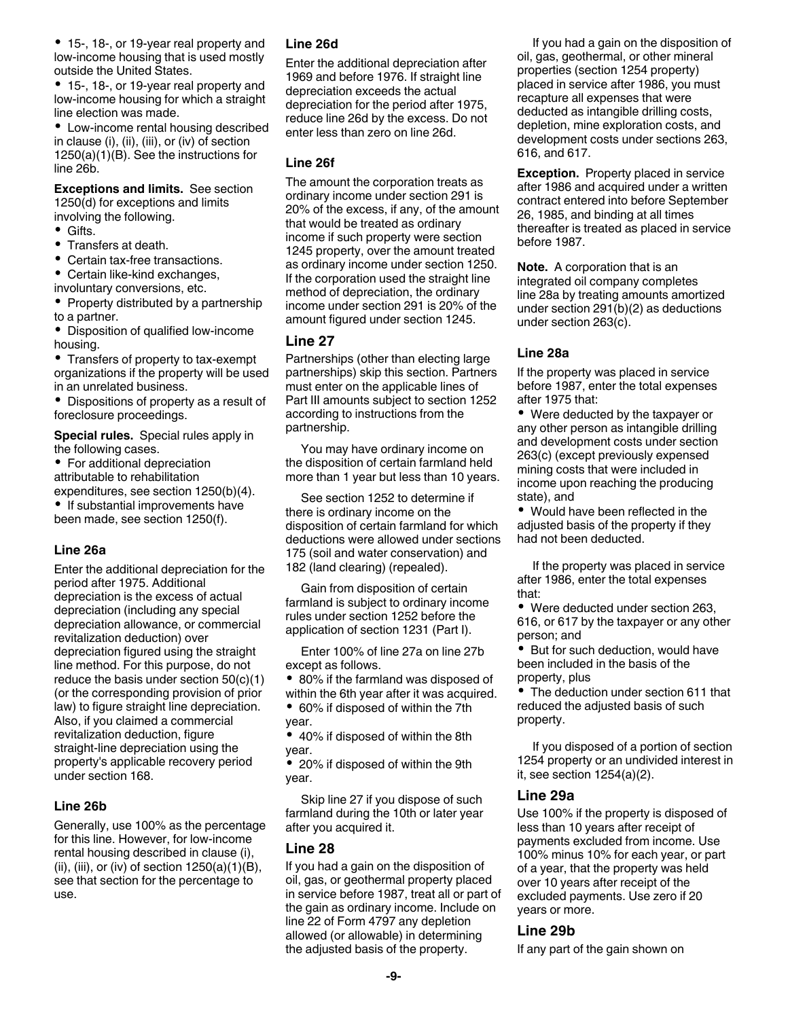15-, 18-, or 19-year real property and low-income housing that is used mostly outside the United States.

15-, 18-, or 19-year real property and low-income housing for which a straight line election was made.

Low-income rental housing described in clause (i), (ii), (iii), or (iv) of section 1250(a)(1)(B). See the instructions for line 26b.

**Exceptions and limits.** See section 1250(d) for exceptions and limits involving the following.

- Gifts.
- $\bullet$ Transfers at death.
- Certain tax-free transactions.
- Certain like-kind exchanges, involuntary conversions, etc.
- Property distributed by a partnership to a partner.
- Disposition of qualified low-income housing.

Transfers of property to tax-exempt organizations if the property will be used in an unrelated business.

Dispositions of property as a result of foreclosure proceedings.

**Special rules.** Special rules apply in the following cases.

• For additional depreciation attributable to rehabilitation expenditures, see section 1250(b)(4).

• If substantial improvements have been made, see section 1250(f).

#### **Line 26a**

Enter the additional depreciation for the period after 1975. Additional depreciation is the excess of actual depreciation (including any special depreciation allowance, or commercial revitalization deduction) over depreciation figured using the straight line method. For this purpose, do not reduce the basis under section 50(c)(1) (or the corresponding provision of prior law) to figure straight line depreciation. Also, if you claimed a commercial revitalization deduction, figure straight-line depreciation using the property's applicable recovery period under section 168.

## **Line 26b**

Generally, use 100% as the percentage for this line. However, for low-income rental housing described in clause (i), (ii), (iii), or (iv) of section  $1250(a)(1)(B)$ , see that section for the percentage to use.

#### **Line 26d**

Enter the additional depreciation after 1969 and before 1976. If straight line depreciation exceeds the actual depreciation for the period after 1975, reduce line 26d by the excess. Do not enter less than zero on line 26d.

#### **Line 26f**

The amount the corporation treats as ordinary income under section 291 is 20% of the excess, if any, of the amount that would be treated as ordinary income if such property were section 1245 property, over the amount treated as ordinary income under section 1250. If the corporation used the straight line method of depreciation, the ordinary income under section 291 is 20% of the amount figured under section 1245.

#### **Line 27**

Partnerships (other than electing large partnerships) skip this section. Partners must enter on the applicable lines of Part III amounts subject to section 1252 according to instructions from the partnership.

You may have ordinary income on the disposition of certain farmland held more than 1 year but less than 10 years.

See section 1252 to determine if there is ordinary income on the disposition of certain farmland for which deductions were allowed under sections 175 (soil and water conservation) and 182 (land clearing) (repealed).

Gain from disposition of certain farmland is subject to ordinary income rules under section 1252 before the application of section 1231 (Part I).

Enter 100% of line 27a on line 27b except as follows.

80% if the farmland was disposed of within the 6th year after it was acquired.

60% if disposed of within the 7th year.

40% if disposed of within the 8th year.

20% if disposed of within the 9th year.

Skip line 27 if you dispose of such farmland during the 10th or later year after you acquired it.

## **Line 28**

If you had a gain on the disposition of oil, gas, or geothermal property placed in service before 1987, treat all or part of the gain as ordinary income. Include on line 22 of Form 4797 any depletion allowed (or allowable) in determining the adjusted basis of the property.

If you had a gain on the disposition of oil, gas, geothermal, or other mineral properties (section 1254 property) placed in service after 1986, you must recapture all expenses that were deducted as intangible drilling costs, depletion, mine exploration costs, and development costs under sections 263, 616, and 617.

**Exception.** Property placed in service after 1986 and acquired under a written contract entered into before September 26, 1985, and binding at all times thereafter is treated as placed in service before 1987.

**Note.** A corporation that is an integrated oil company completes line 28a by treating amounts amortized under section 291(b)(2) as deductions under section 263(c).

#### **Line 28a**

If the property was placed in service before 1987, enter the total expenses after 1975 that:

Were deducted by the taxpayer or any other person as intangible drilling and development costs under section 263(c) (except previously expensed mining costs that were included in income upon reaching the producing state), and

Would have been reflected in the adjusted basis of the property if they had not been deducted.

If the property was placed in service after 1986, enter the total expenses that:

Were deducted under section 263, 616, or 617 by the taxpayer or any other person; and

• But for such deduction, would have been included in the basis of the property, plus

• The deduction under section 611 that reduced the adjusted basis of such property.

If you disposed of a portion of section 1254 property or an undivided interest in it, see section 1254(a)(2).

## **Line 29a**

Use 100% if the property is disposed of less than 10 years after receipt of payments excluded from income. Use 100% minus 10% for each year, or part of a year, that the property was held over 10 years after receipt of the excluded payments. Use zero if 20 years or more.

#### **Line 29b**

If any part of the gain shown on